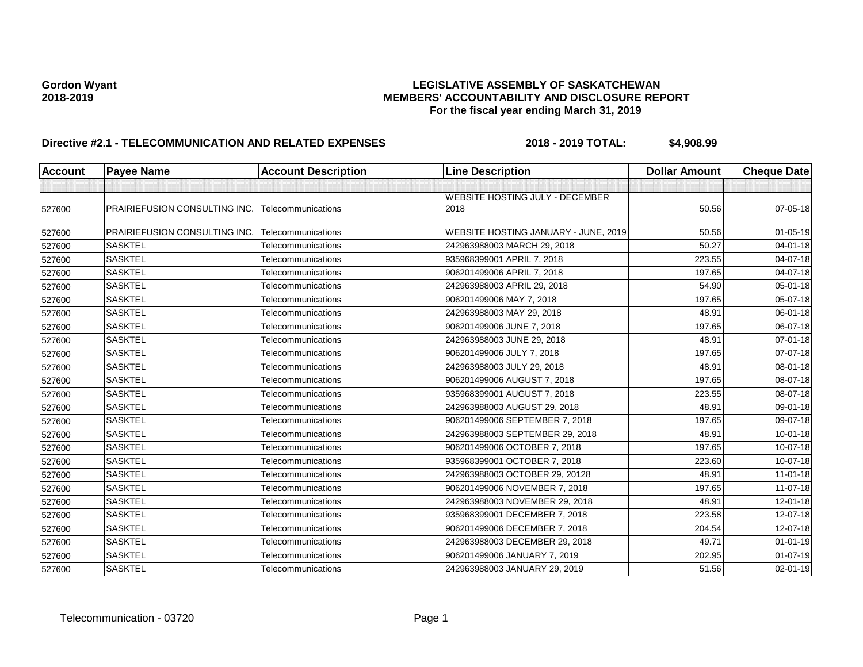| Account | <b>Payee Name</b>             | <b>Account Description</b> | <b>Line Description</b>                | <b>Dollar Amount</b> | <b>Cheque Date</b> |
|---------|-------------------------------|----------------------------|----------------------------------------|----------------------|--------------------|
|         |                               |                            |                                        |                      |                    |
|         |                               |                            | <b>WEBSITE HOSTING JULY - DECEMBER</b> |                      |                    |
| 527600  | PRAIRIEFUSION CONSULTING INC. | Telecommunications         | 2018                                   | 50.56                | 07-05-18           |
| 527600  | PRAIRIEFUSION CONSULTING INC. | Telecommunications         | WEBSITE HOSTING JANUARY - JUNE, 2019   | 50.56                | $01 - 05 - 19$     |
| 527600  | <b>SASKTEL</b>                | Telecommunications         | 242963988003 MARCH 29, 2018            | 50.27                | 04-01-18           |
| 527600  | <b>SASKTEL</b>                | Telecommunications         | 935968399001 APRIL 7, 2018             | 223.55               | 04-07-18           |
| 527600  | <b>SASKTEL</b>                | Telecommunications         | 906201499006 APRIL 7, 2018             | 197.65               | 04-07-18           |
| 527600  | <b>SASKTEL</b>                | Telecommunications         | 242963988003 APRIL 29, 2018            | 54.90                | 05-01-18           |
| 527600  | <b>SASKTEL</b>                | Telecommunications         | 906201499006 MAY 7, 2018               | 197.65               | 05-07-18           |
| 527600  | <b>SASKTEL</b>                | Telecommunications         | 242963988003 MAY 29, 2018              | 48.91                | 06-01-18           |
| 527600  | <b>SASKTEL</b>                | Telecommunications         | 906201499006 JUNE 7, 2018              | 197.65               | 06-07-18           |
| 527600  | <b>SASKTEL</b>                | Telecommunications         | 242963988003 JUNE 29, 2018             | 48.91                | $07 - 01 - 18$     |
| 527600  | <b>SASKTEL</b>                | Telecommunications         | 906201499006 JULY 7, 2018              | 197.65               | 07-07-18           |
| 527600  | <b>SASKTEL</b>                | Telecommunications         | 242963988003 JULY 29, 2018             | 48.91                | 08-01-18           |
| 527600  | <b>SASKTEL</b>                | Telecommunications         | 906201499006 AUGUST 7, 2018            | 197.65               | 08-07-18           |
| 527600  | <b>SASKTEL</b>                | Telecommunications         | 935968399001 AUGUST 7, 2018            | 223.55               | 08-07-18           |
| 527600  | <b>SASKTEL</b>                | Telecommunications         | 242963988003 AUGUST 29, 2018           | 48.91                | 09-01-18           |
| 527600  | <b>SASKTEL</b>                | Telecommunications         | 906201499006 SEPTEMBER 7, 2018         | 197.65               | 09-07-18           |
| 527600  | <b>SASKTEL</b>                | Telecommunications         | 242963988003 SEPTEMBER 29, 2018        | 48.91                | $10 - 01 - 18$     |
| 527600  | <b>SASKTEL</b>                | Telecommunications         | 906201499006 OCTOBER 7, 2018           | 197.65               | 10-07-18           |
| 527600  | <b>SASKTEL</b>                | Telecommunications         | 935968399001 OCTOBER 7, 2018           | 223.60               | 10-07-18           |
| 527600  | <b>SASKTEL</b>                | Telecommunications         | 242963988003 OCTOBER 29, 20128         | 48.91                | $11 - 01 - 18$     |
| 527600  | <b>SASKTEL</b>                | Telecommunications         | 906201499006 NOVEMBER 7, 2018          | 197.65               | $11-07-18$         |
| 527600  | <b>SASKTEL</b>                | Telecommunications         | 242963988003 NOVEMBER 29, 2018         | 48.91                | 12-01-18           |
| 527600  | <b>SASKTEL</b>                | Telecommunications         | 935968399001 DECEMBER 7, 2018          | 223.58               | 12-07-18           |
| 527600  | <b>SASKTEL</b>                | Telecommunications         | 906201499006 DECEMBER 7, 2018          | 204.54               | 12-07-18           |
| 527600  | <b>SASKTEL</b>                | Telecommunications         | 242963988003 DECEMBER 29, 2018         | 49.71                | $01 - 01 - 19$     |
| 527600  | <b>SASKTEL</b>                | Telecommunications         | 906201499006 JANUARY 7, 2019           | 202.95               | $01-07-19$         |
| 527600  | <b>SASKTEL</b>                | Telecommunications         | 242963988003 JANUARY 29, 2019          | 51.56                | 02-01-19           |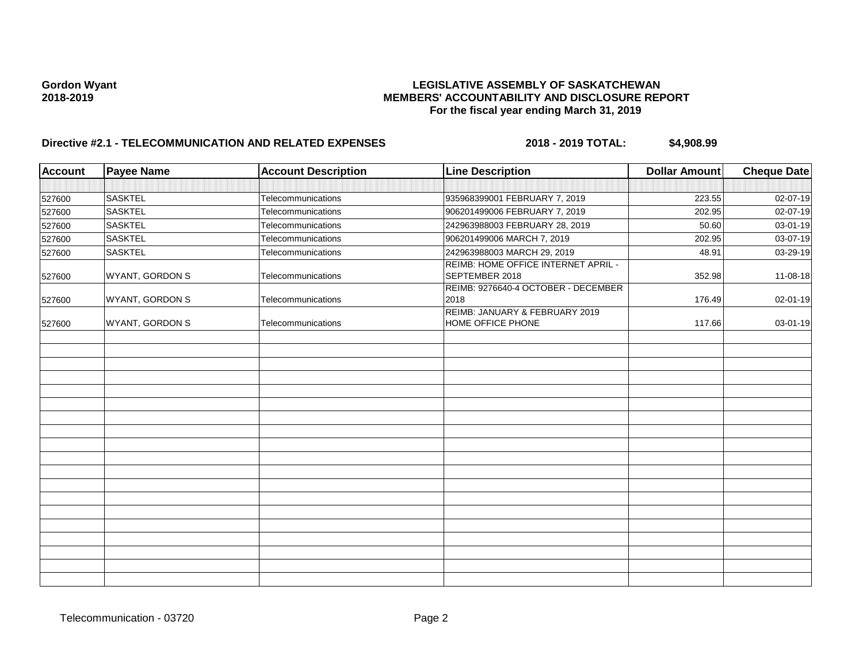| <b>Account</b> | <b>Payee Name</b> | <b>Account Description</b> | <b>Line Description</b>                               | <b>Dollar Amount</b> | <b>Cheque Date</b> |
|----------------|-------------------|----------------------------|-------------------------------------------------------|----------------------|--------------------|
|                |                   |                            |                                                       |                      |                    |
| 527600         | <b>SASKTEL</b>    | Telecommunications         | 935968399001 FEBRUARY 7, 2019                         | 223.55               | 02-07-19           |
| 527600         | <b>SASKTEL</b>    | Telecommunications         | 906201499006 FEBRUARY 7, 2019                         | 202.95               | $02 - 07 - 19$     |
| 527600         | <b>SASKTEL</b>    | Telecommunications         | 242963988003 FEBRUARY 28, 2019                        | 50.60                | $03 - 01 - 19$     |
| 527600         | <b>SASKTEL</b>    | Telecommunications         | 906201499006 MARCH 7, 2019                            | 202.95               | 03-07-19           |
| 527600         | <b>SASKTEL</b>    | Telecommunications         | 242963988003 MARCH 29, 2019                           | 48.91                | 03-29-19           |
| 527600         | WYANT, GORDON S   | Telecommunications         | REIMB: HOME OFFICE INTERNET APRIL -<br>SEPTEMBER 2018 | 352.98               | 11-08-18           |
| 527600         | WYANT, GORDON S   | Telecommunications         | REIMB: 9276640-4 OCTOBER - DECEMBER<br>2018           | 176.49               | 02-01-19           |
| 527600         | WYANT, GORDON S   | Telecommunications         | REIMB: JANUARY & FEBRUARY 2019<br>HOME OFFICE PHONE   | 117.66               | 03-01-19           |
|                |                   |                            |                                                       |                      |                    |
|                |                   |                            |                                                       |                      |                    |
|                |                   |                            |                                                       |                      |                    |
|                |                   |                            |                                                       |                      |                    |
|                |                   |                            |                                                       |                      |                    |
|                |                   |                            |                                                       |                      |                    |
|                |                   |                            |                                                       |                      |                    |
|                |                   |                            |                                                       |                      |                    |
|                |                   |                            |                                                       |                      |                    |
|                |                   |                            |                                                       |                      |                    |
|                |                   |                            |                                                       |                      |                    |
|                |                   |                            |                                                       |                      |                    |
|                |                   |                            |                                                       |                      |                    |
|                |                   |                            |                                                       |                      |                    |
|                |                   |                            |                                                       |                      |                    |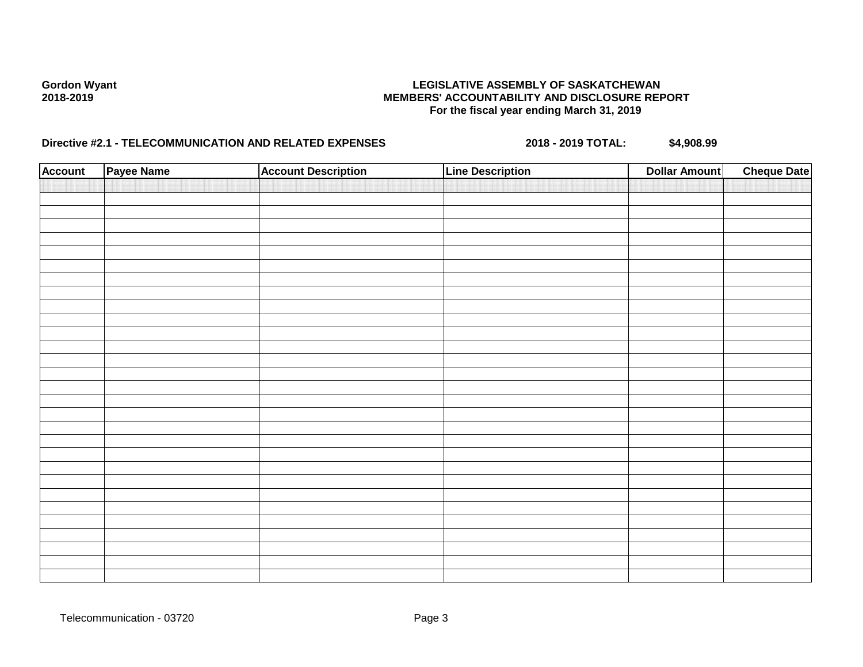| <b>Account</b> | Payee Name | <b>Account Description</b> | <b>Line Description</b> | <b>Dollar Amount</b> | <b>Cheque Date</b> |
|----------------|------------|----------------------------|-------------------------|----------------------|--------------------|
|                |            |                            |                         |                      |                    |
|                |            |                            |                         |                      |                    |
|                |            |                            |                         |                      |                    |
|                |            |                            |                         |                      |                    |
|                |            |                            |                         |                      |                    |
|                |            |                            |                         |                      |                    |
|                |            |                            |                         |                      |                    |
|                |            |                            |                         |                      |                    |
|                |            |                            |                         |                      |                    |
|                |            |                            |                         |                      |                    |
|                |            |                            |                         |                      |                    |
|                |            |                            |                         |                      |                    |
|                |            |                            |                         |                      |                    |
|                |            |                            |                         |                      |                    |
|                |            |                            |                         |                      |                    |
|                |            |                            |                         |                      |                    |
|                |            |                            |                         |                      |                    |
|                |            |                            |                         |                      |                    |
|                |            |                            |                         |                      |                    |
|                |            |                            |                         |                      |                    |
|                |            |                            |                         |                      |                    |
|                |            |                            |                         |                      |                    |
|                |            |                            |                         |                      |                    |
|                |            |                            |                         |                      |                    |
|                |            |                            |                         |                      |                    |
|                |            |                            |                         |                      |                    |
|                |            |                            |                         |                      |                    |
|                |            |                            |                         |                      |                    |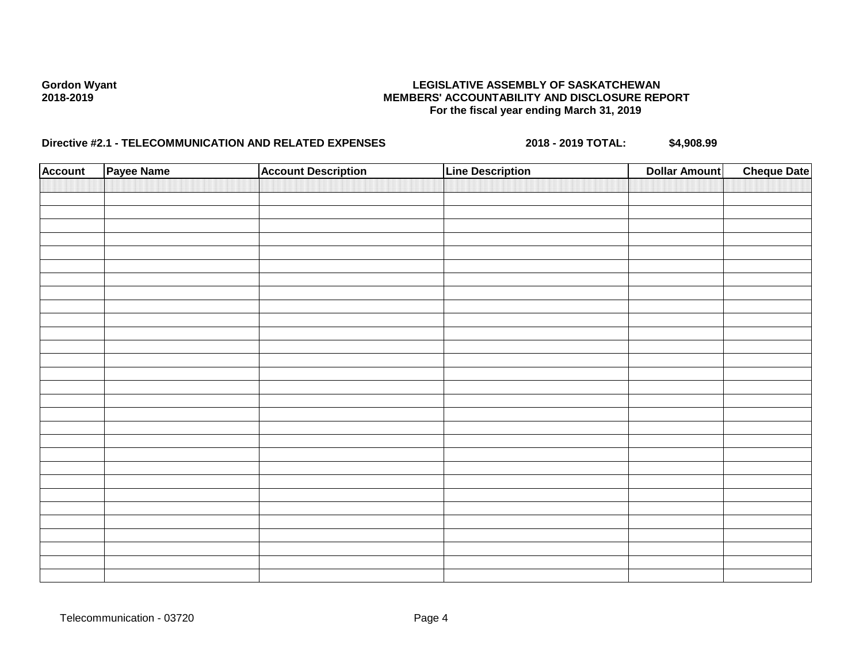| <b>Account</b> | Payee Name | <b>Account Description</b> | <b>Line Description</b> | <b>Dollar Amount</b> | <b>Cheque Date</b> |
|----------------|------------|----------------------------|-------------------------|----------------------|--------------------|
|                |            |                            |                         |                      |                    |
|                |            |                            |                         |                      |                    |
|                |            |                            |                         |                      |                    |
|                |            |                            |                         |                      |                    |
|                |            |                            |                         |                      |                    |
|                |            |                            |                         |                      |                    |
|                |            |                            |                         |                      |                    |
|                |            |                            |                         |                      |                    |
|                |            |                            |                         |                      |                    |
|                |            |                            |                         |                      |                    |
|                |            |                            |                         |                      |                    |
|                |            |                            |                         |                      |                    |
|                |            |                            |                         |                      |                    |
|                |            |                            |                         |                      |                    |
|                |            |                            |                         |                      |                    |
|                |            |                            |                         |                      |                    |
|                |            |                            |                         |                      |                    |
|                |            |                            |                         |                      |                    |
|                |            |                            |                         |                      |                    |
|                |            |                            |                         |                      |                    |
|                |            |                            |                         |                      |                    |
|                |            |                            |                         |                      |                    |
|                |            |                            |                         |                      |                    |
|                |            |                            |                         |                      |                    |
|                |            |                            |                         |                      |                    |
|                |            |                            |                         |                      |                    |
|                |            |                            |                         |                      |                    |
|                |            |                            |                         |                      |                    |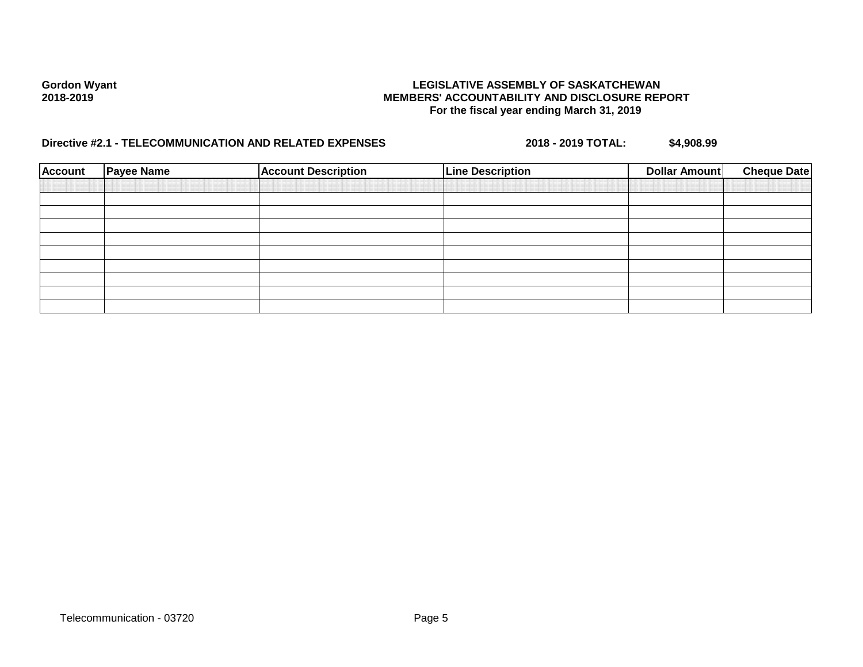| <b>Account</b> | <b>Payee Name</b> | <b>Account Description</b> | <b>Line Description</b> | Dollar Amount | <b>Cheque Date</b> |
|----------------|-------------------|----------------------------|-------------------------|---------------|--------------------|
|                |                   |                            |                         |               |                    |
|                |                   |                            |                         |               |                    |
|                |                   |                            |                         |               |                    |
|                |                   |                            |                         |               |                    |
|                |                   |                            |                         |               |                    |
|                |                   |                            |                         |               |                    |
|                |                   |                            |                         |               |                    |
|                |                   |                            |                         |               |                    |
|                |                   |                            |                         |               |                    |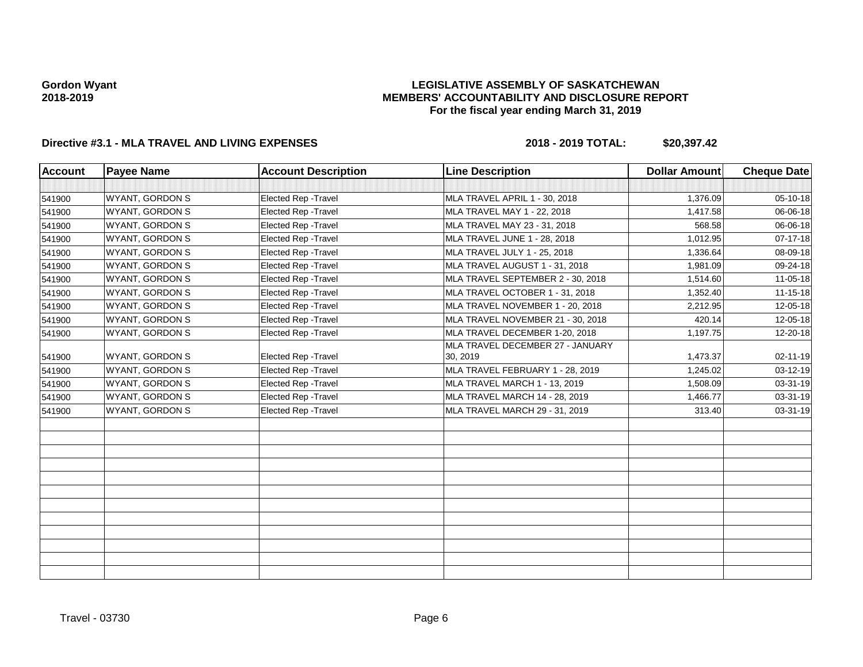## **LEGISLATIVE ASSEMBLY OF SASKATCHEWAN MEMBERS' ACCOUNTABILITY AND DISCLOSURE REPORT For the fiscal year ending March 31, 2019**

| <b>Account</b> | <b>Payee Name</b>      | <b>Account Description</b>  | <b>Line Description</b>           | <b>Dollar Amount</b> | <b>Cheque Date</b> |
|----------------|------------------------|-----------------------------|-----------------------------------|----------------------|--------------------|
|                |                        |                             |                                   |                      |                    |
| 541900         | WYANT, GORDON S        | Elected Rep - Travel        | MLA TRAVEL APRIL 1 - 30, 2018     | 1,376.09             | 05-10-18           |
| 541900         | WYANT, GORDON S        | <b>Elected Rep - Travel</b> | MLA TRAVEL MAY 1 - 22, 2018       | 1,417.58             | 06-06-18           |
| 541900         | <b>WYANT, GORDON S</b> | <b>Elected Rep - Travel</b> | MLA TRAVEL MAY 23 - 31, 2018      | 568.58               | 06-06-18           |
| 541900         | WYANT, GORDON S        | Elected Rep - Travel        | MLA TRAVEL JUNE 1 - 28, 2018      | 1,012.95             | 07-17-18           |
| 541900         | WYANT, GORDON S        | Elected Rep - Travel        | MLA TRAVEL JULY 1 - 25, 2018      | 1,336.64             | 08-09-18           |
| 541900         | <b>WYANT, GORDON S</b> | Elected Rep - Travel        | MLA TRAVEL AUGUST 1 - 31, 2018    | 1,981.09             | 09-24-18           |
| 541900         | <b>WYANT, GORDON S</b> | <b>Elected Rep - Travel</b> | MLA TRAVEL SEPTEMBER 2 - 30, 2018 | 1,514.60             | 11-05-18           |
| 541900         | <b>WYANT, GORDON S</b> | <b>Elected Rep - Travel</b> | MLA TRAVEL OCTOBER 1 - 31, 2018   | 1,352.40             | 11-15-18           |
| 541900         | <b>WYANT, GORDON S</b> | Elected Rep - Travel        | MLA TRAVEL NOVEMBER 1 - 20, 2018  | 2,212.95             | 12-05-18           |
| 541900         | <b>WYANT, GORDON S</b> | Elected Rep - Travel        | MLA TRAVEL NOVEMBER 21 - 30, 2018 | 420.14               | 12-05-18           |
| 541900         | WYANT, GORDON S        | Elected Rep - Travel        | MLA TRAVEL DECEMBER 1-20, 2018    | 1,197.75             | 12-20-18           |
|                |                        |                             | MLA TRAVEL DECEMBER 27 - JANUARY  |                      |                    |
| 541900         | <b>WYANT, GORDON S</b> | <b>Elected Rep - Travel</b> | 30, 2019                          | 1,473.37             | 02-11-19           |
| 541900         | <b>WYANT, GORDON S</b> | Elected Rep - Travel        | MLA TRAVEL FEBRUARY 1 - 28, 2019  | 1,245.02             | 03-12-19           |
| 541900         | <b>WYANT, GORDON S</b> | Elected Rep - Travel        | MLA TRAVEL MARCH 1 - 13, 2019     | 1,508.09             | 03-31-19           |
| 541900         | <b>WYANT, GORDON S</b> | Elected Rep - Travel        | MLA TRAVEL MARCH 14 - 28, 2019    | 1,466.77             | 03-31-19           |
| 541900         | <b>WYANT, GORDON S</b> | Elected Rep - Travel        | MLA TRAVEL MARCH 29 - 31, 2019    | 313.40               | 03-31-19           |
|                |                        |                             |                                   |                      |                    |
|                |                        |                             |                                   |                      |                    |
|                |                        |                             |                                   |                      |                    |
|                |                        |                             |                                   |                      |                    |
|                |                        |                             |                                   |                      |                    |
|                |                        |                             |                                   |                      |                    |
|                |                        |                             |                                   |                      |                    |
|                |                        |                             |                                   |                      |                    |
|                |                        |                             |                                   |                      |                    |
|                |                        |                             |                                   |                      |                    |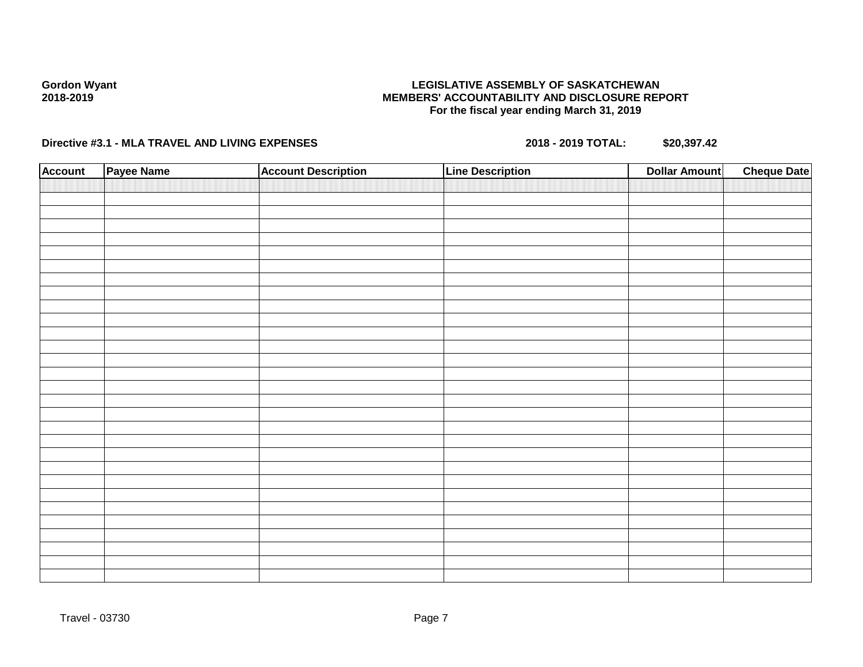## **LEGISLATIVE ASSEMBLY OF SASKATCHEWAN MEMBERS' ACCOUNTABILITY AND DISCLOSURE REPORT For the fiscal year ending March 31, 2019**

| <b>Account</b> | Payee Name | <b>Account Description</b> | <b>Line Description</b> | <b>Dollar Amount</b> | <b>Cheque Date</b> |
|----------------|------------|----------------------------|-------------------------|----------------------|--------------------|
|                |            |                            |                         |                      |                    |
|                |            |                            |                         |                      |                    |
|                |            |                            |                         |                      |                    |
|                |            |                            |                         |                      |                    |
|                |            |                            |                         |                      |                    |
|                |            |                            |                         |                      |                    |
|                |            |                            |                         |                      |                    |
|                |            |                            |                         |                      |                    |
|                |            |                            |                         |                      |                    |
|                |            |                            |                         |                      |                    |
|                |            |                            |                         |                      |                    |
|                |            |                            |                         |                      |                    |
|                |            |                            |                         |                      |                    |
|                |            |                            |                         |                      |                    |
|                |            |                            |                         |                      |                    |
|                |            |                            |                         |                      |                    |
|                |            |                            |                         |                      |                    |
|                |            |                            |                         |                      |                    |
|                |            |                            |                         |                      |                    |
|                |            |                            |                         |                      |                    |
|                |            |                            |                         |                      |                    |
|                |            |                            |                         |                      |                    |
|                |            |                            |                         |                      |                    |
|                |            |                            |                         |                      |                    |
|                |            |                            |                         |                      |                    |
|                |            |                            |                         |                      |                    |
|                |            |                            |                         |                      |                    |
|                |            |                            |                         |                      |                    |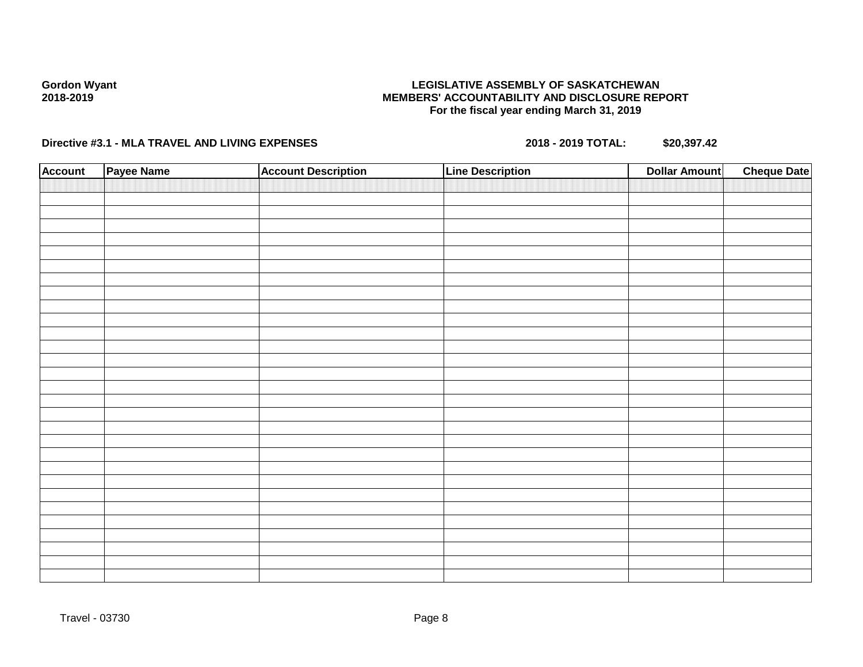## **LEGISLATIVE ASSEMBLY OF SASKATCHEWAN MEMBERS' ACCOUNTABILITY AND DISCLOSURE REPORT For the fiscal year ending March 31, 2019**

| <b>Account</b> | Payee Name | <b>Account Description</b> | <b>Line Description</b> | <b>Dollar Amount</b> | <b>Cheque Date</b> |
|----------------|------------|----------------------------|-------------------------|----------------------|--------------------|
|                |            |                            |                         |                      |                    |
|                |            |                            |                         |                      |                    |
|                |            |                            |                         |                      |                    |
|                |            |                            |                         |                      |                    |
|                |            |                            |                         |                      |                    |
|                |            |                            |                         |                      |                    |
|                |            |                            |                         |                      |                    |
|                |            |                            |                         |                      |                    |
|                |            |                            |                         |                      |                    |
|                |            |                            |                         |                      |                    |
|                |            |                            |                         |                      |                    |
|                |            |                            |                         |                      |                    |
|                |            |                            |                         |                      |                    |
|                |            |                            |                         |                      |                    |
|                |            |                            |                         |                      |                    |
|                |            |                            |                         |                      |                    |
|                |            |                            |                         |                      |                    |
|                |            |                            |                         |                      |                    |
|                |            |                            |                         |                      |                    |
|                |            |                            |                         |                      |                    |
|                |            |                            |                         |                      |                    |
|                |            |                            |                         |                      |                    |
|                |            |                            |                         |                      |                    |
|                |            |                            |                         |                      |                    |
|                |            |                            |                         |                      |                    |
|                |            |                            |                         |                      |                    |
|                |            |                            |                         |                      |                    |
|                |            |                            |                         |                      |                    |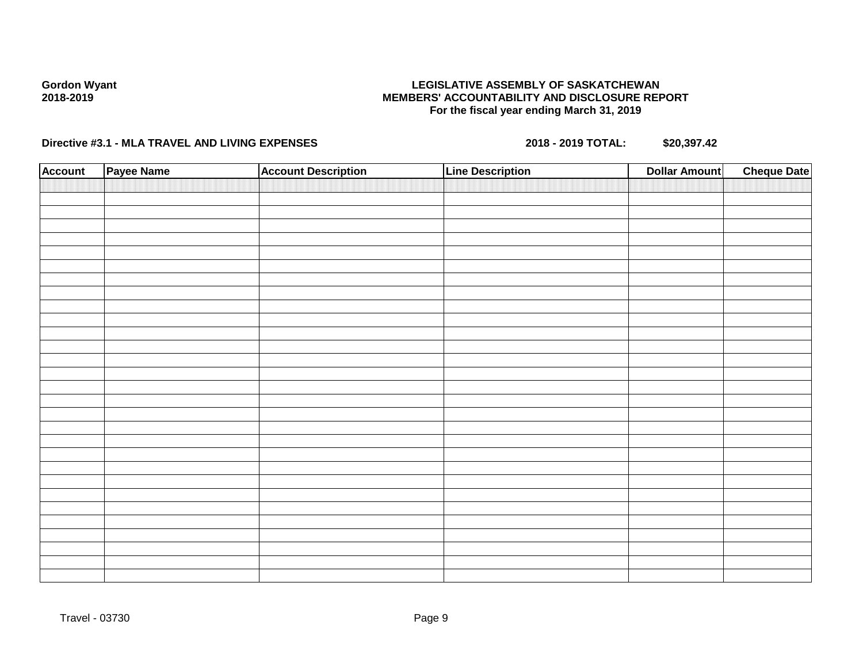## **LEGISLATIVE ASSEMBLY OF SASKATCHEWAN MEMBERS' ACCOUNTABILITY AND DISCLOSURE REPORT For the fiscal year ending March 31, 2019**

| <b>Account</b> | Payee Name | <b>Account Description</b> | <b>Line Description</b> | <b>Dollar Amount</b> | <b>Cheque Date</b> |
|----------------|------------|----------------------------|-------------------------|----------------------|--------------------|
|                |            |                            |                         |                      |                    |
|                |            |                            |                         |                      |                    |
|                |            |                            |                         |                      |                    |
|                |            |                            |                         |                      |                    |
|                |            |                            |                         |                      |                    |
|                |            |                            |                         |                      |                    |
|                |            |                            |                         |                      |                    |
|                |            |                            |                         |                      |                    |
|                |            |                            |                         |                      |                    |
|                |            |                            |                         |                      |                    |
|                |            |                            |                         |                      |                    |
|                |            |                            |                         |                      |                    |
|                |            |                            |                         |                      |                    |
|                |            |                            |                         |                      |                    |
|                |            |                            |                         |                      |                    |
|                |            |                            |                         |                      |                    |
|                |            |                            |                         |                      |                    |
|                |            |                            |                         |                      |                    |
|                |            |                            |                         |                      |                    |
|                |            |                            |                         |                      |                    |
|                |            |                            |                         |                      |                    |
|                |            |                            |                         |                      |                    |
|                |            |                            |                         |                      |                    |
|                |            |                            |                         |                      |                    |
|                |            |                            |                         |                      |                    |
|                |            |                            |                         |                      |                    |
|                |            |                            |                         |                      |                    |
|                |            |                            |                         |                      |                    |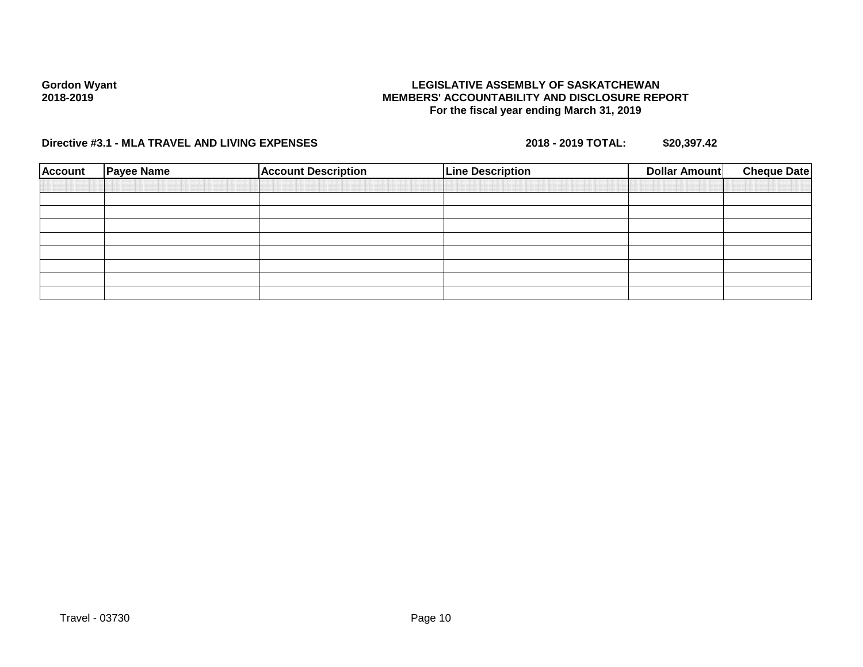## **LEGISLATIVE ASSEMBLY OF SASKATCHEWAN MEMBERS' ACCOUNTABILITY AND DISCLOSURE REPORT For the fiscal year ending March 31, 2019**

| <b>Payee Name</b> | <b>Account Description</b> | <b>Line Description</b> | Dollar Amount | <b>Cheque Date</b> |
|-------------------|----------------------------|-------------------------|---------------|--------------------|
|                   |                            |                         |               |                    |
|                   |                            |                         |               |                    |
|                   |                            |                         |               |                    |
|                   |                            |                         |               |                    |
|                   |                            |                         |               |                    |
|                   |                            |                         |               |                    |
|                   |                            |                         |               |                    |
|                   |                            |                         |               |                    |
|                   |                            |                         |               |                    |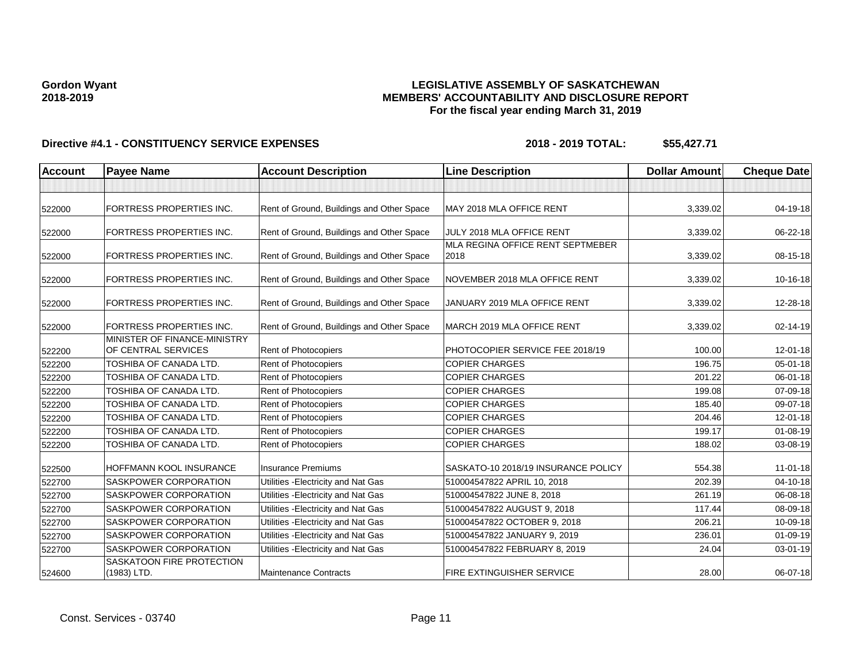## **LEGISLATIVE ASSEMBLY OF SASKATCHEWAN MEMBERS' ACCOUNTABILITY AND DISCLOSURE REPORT For the fiscal year ending March 31, 2019**

| Account | <b>Payee Name</b>                                   | <b>Account Description</b>                | <b>Line Description</b>                  | <b>Dollar Amount</b> | <b>Cheque Date</b> |
|---------|-----------------------------------------------------|-------------------------------------------|------------------------------------------|----------------------|--------------------|
|         |                                                     |                                           |                                          |                      |                    |
| 522000  | FORTRESS PROPERTIES INC.                            | Rent of Ground, Buildings and Other Space | MAY 2018 MLA OFFICE RENT                 | 3,339.02             | 04-19-18           |
| 522000  | <b>FORTRESS PROPERTIES INC.</b>                     | Rent of Ground, Buildings and Other Space | JULY 2018 MLA OFFICE RENT                | 3,339.02             | 06-22-18           |
| 522000  | <b>FORTRESS PROPERTIES INC.</b>                     | Rent of Ground, Buildings and Other Space | MLA REGINA OFFICE RENT SEPTMEBER<br>2018 | 3,339.02             | 08-15-18           |
| 522000  | FORTRESS PROPERTIES INC.                            | Rent of Ground, Buildings and Other Space | NOVEMBER 2018 MLA OFFICE RENT            | 3,339.02             | 10-16-18           |
| 522000  | FORTRESS PROPERTIES INC.                            | Rent of Ground, Buildings and Other Space | JANUARY 2019 MLA OFFICE RENT             | 3,339.02             | 12-28-18           |
| 522000  | <b>FORTRESS PROPERTIES INC.</b>                     | Rent of Ground, Buildings and Other Space | MARCH 2019 MLA OFFICE RENT               | 3,339.02             | 02-14-19           |
| 522200  | MINISTER OF FINANCE-MINISTRY<br>OF CENTRAL SERVICES | <b>Rent of Photocopiers</b>               | PHOTOCOPIER SERVICE FEE 2018/19          | 100.00               | 12-01-18           |
| 522200  | TOSHIBA OF CANADA LTD.                              | Rent of Photocopiers                      | <b>COPIER CHARGES</b>                    | 196.75               | 05-01-18           |
| 522200  | TOSHIBA OF CANADA LTD.                              | Rent of Photocopiers                      | <b>COPIER CHARGES</b>                    | 201.22               | 06-01-18           |
| 522200  | <b>TOSHIBA OF CANADA LTD.</b>                       | Rent of Photocopiers                      | <b>COPIER CHARGES</b>                    | 199.08               | 07-09-18           |
| 522200  | TOSHIBA OF CANADA LTD.                              | Rent of Photocopiers                      | <b>COPIER CHARGES</b>                    | 185.40               | 09-07-18           |
| 522200  | TOSHIBA OF CANADA LTD.                              | Rent of Photocopiers                      | <b>COPIER CHARGES</b>                    | 204.46               | 12-01-18           |
| 522200  | TOSHIBA OF CANADA LTD.                              | Rent of Photocopiers                      | <b>COPIER CHARGES</b>                    | 199.17               | $01 - 08 - 19$     |
| 522200  | TOSHIBA OF CANADA LTD.                              | Rent of Photocopiers                      | <b>COPIER CHARGES</b>                    | 188.02               | 03-08-19           |
| 522500  | HOFFMANN KOOL INSURANCE                             | <b>Insurance Premiums</b>                 | SASKATO-10 2018/19 INSURANCE POLICY      | 554.38               | $11 - 01 - 18$     |
| 522700  | <b>SASKPOWER CORPORATION</b>                        | Utilities - Electricity and Nat Gas       | 510004547822 APRIL 10, 2018              | 202.39               | $04 - 10 - 18$     |
| 522700  | <b>SASKPOWER CORPORATION</b>                        | Utilities - Electricity and Nat Gas       | 510004547822 JUNE 8, 2018                | 261.19               | 06-08-18           |
| 522700  | SASKPOWER CORPORATION                               | Utilities - Electricity and Nat Gas       | 510004547822 AUGUST 9, 2018              | 117.44               | 08-09-18           |
| 522700  | SASKPOWER CORPORATION                               | Utilities - Electricity and Nat Gas       | 510004547822 OCTOBER 9, 2018             | 206.21               | 10-09-18           |
| 522700  | SASKPOWER CORPORATION                               | Utilities - Electricity and Nat Gas       | 510004547822 JANUARY 9, 2019             | 236.01               | $01 - 09 - 19$     |
| 522700  | SASKPOWER CORPORATION                               | Utilities - Electricity and Nat Gas       | 510004547822 FEBRUARY 8, 2019            | 24.04                | 03-01-19           |
| 524600  | <b>SASKATOON FIRE PROTECTION</b><br>(1983) LTD.     | <b>Maintenance Contracts</b>              | FIRE EXTINGUISHER SERVICE                | 28.00                | 06-07-18           |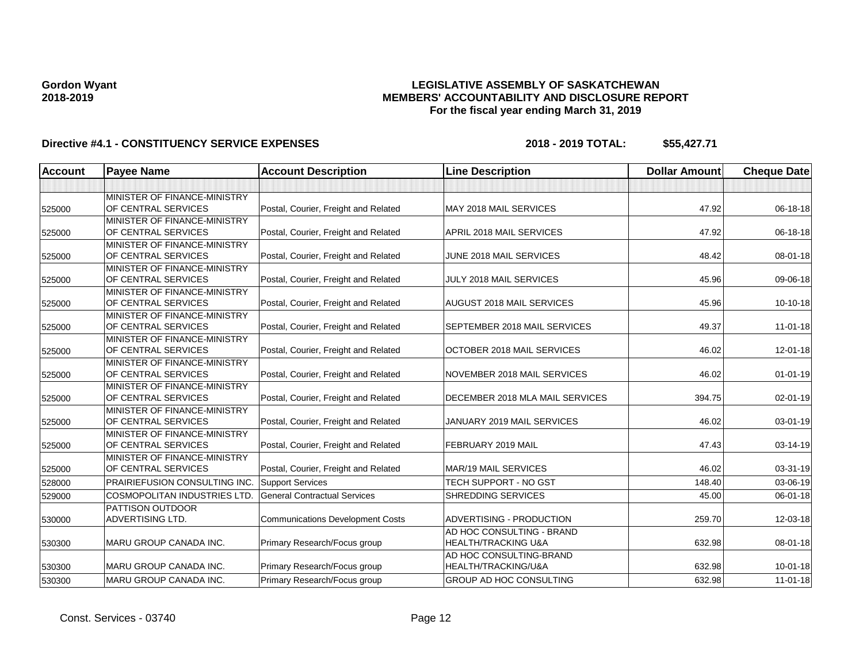## **LEGISLATIVE ASSEMBLY OF SASKATCHEWAN MEMBERS' ACCOUNTABILITY AND DISCLOSURE REPORT For the fiscal year ending March 31, 2019**

| Account | <b>Payee Name</b>                                   | <b>Account Description</b>              | <b>Line Description</b>                                     | <b>Dollar Amount</b> | <b>Cheque Date</b> |
|---------|-----------------------------------------------------|-----------------------------------------|-------------------------------------------------------------|----------------------|--------------------|
|         |                                                     |                                         |                                                             |                      |                    |
| 525000  | MINISTER OF FINANCE-MINISTRY<br>OF CENTRAL SERVICES | Postal, Courier, Freight and Related    | MAY 2018 MAIL SERVICES                                      | 47.92                | 06-18-18           |
| 525000  | MINISTER OF FINANCE-MINISTRY<br>OF CENTRAL SERVICES | Postal, Courier, Freight and Related    | APRIL 2018 MAIL SERVICES                                    | 47.92                | 06-18-18           |
| 525000  | MINISTER OF FINANCE-MINISTRY<br>OF CENTRAL SERVICES | Postal, Courier, Freight and Related    | JUNE 2018 MAIL SERVICES                                     | 48.42                | $08 - 01 - 18$     |
| 525000  | MINISTER OF FINANCE-MINISTRY<br>OF CENTRAL SERVICES | Postal, Courier, Freight and Related    | JULY 2018 MAIL SERVICES                                     | 45.96                | 09-06-18           |
| 525000  | MINISTER OF FINANCE-MINISTRY<br>OF CENTRAL SERVICES | Postal, Courier, Freight and Related    | AUGUST 2018 MAIL SERVICES                                   | 45.96                | 10-10-18           |
| 525000  | MINISTER OF FINANCE-MINISTRY<br>OF CENTRAL SERVICES | Postal, Courier, Freight and Related    | SEPTEMBER 2018 MAIL SERVICES                                | 49.37                | $11 - 01 - 18$     |
| 525000  | MINISTER OF FINANCE-MINISTRY<br>OF CENTRAL SERVICES | Postal, Courier, Freight and Related    | OCTOBER 2018 MAIL SERVICES                                  | 46.02                | $12 - 01 - 18$     |
| 525000  | MINISTER OF FINANCE-MINISTRY<br>OF CENTRAL SERVICES | Postal, Courier, Freight and Related    | NOVEMBER 2018 MAIL SERVICES                                 | 46.02                | $01 - 01 - 19$     |
| 525000  | MINISTER OF FINANCE-MINISTRY<br>OF CENTRAL SERVICES | Postal, Courier, Freight and Related    | DECEMBER 2018 MLA MAIL SERVICES                             | 394.75               | 02-01-19           |
| 525000  | MINISTER OF FINANCE-MINISTRY<br>OF CENTRAL SERVICES | Postal, Courier, Freight and Related    | JANUARY 2019 MAIL SERVICES                                  | 46.02                | 03-01-19           |
| 525000  | MINISTER OF FINANCE-MINISTRY<br>OF CENTRAL SERVICES | Postal, Courier, Freight and Related    | FEBRUARY 2019 MAIL                                          | 47.43                | 03-14-19           |
| 525000  | MINISTER OF FINANCE-MINISTRY<br>OF CENTRAL SERVICES | Postal, Courier, Freight and Related    | <b>MAR/19 MAIL SERVICES</b>                                 | 46.02                | 03-31-19           |
| 528000  | <b>PRAIRIEFUSION CONSULTING INC.</b>                | <b>Support Services</b>                 | TECH SUPPORT - NO GST                                       | 148.40               | 03-06-19           |
| 529000  | COSMOPOLITAN INDUSTRIES LTD.                        | <b>General Contractual Services</b>     | SHREDDING SERVICES                                          | 45.00                | 06-01-18           |
| 530000  | <b>PATTISON OUTDOOR</b><br><b>ADVERTISING LTD.</b>  | <b>Communications Development Costs</b> | ADVERTISING - PRODUCTION                                    | 259.70               | 12-03-18           |
| 530300  | <b>MARU GROUP CANADA INC.</b>                       | Primary Research/Focus group            | AD HOC CONSULTING - BRAND<br><b>HEALTH/TRACKING U&amp;A</b> | 632.98               | 08-01-18           |
| 530300  | <b>MARU GROUP CANADA INC.</b>                       | Primary Research/Focus group            | AD HOC CONSULTING-BRAND<br>HEALTH/TRACKING/U&A              | 632.98               | $10 - 01 - 18$     |
| 530300  | <b>MARU GROUP CANADA INC.</b>                       | Primary Research/Focus group            | GROUP AD HOC CONSULTING                                     | 632.98               | $11-01-18$         |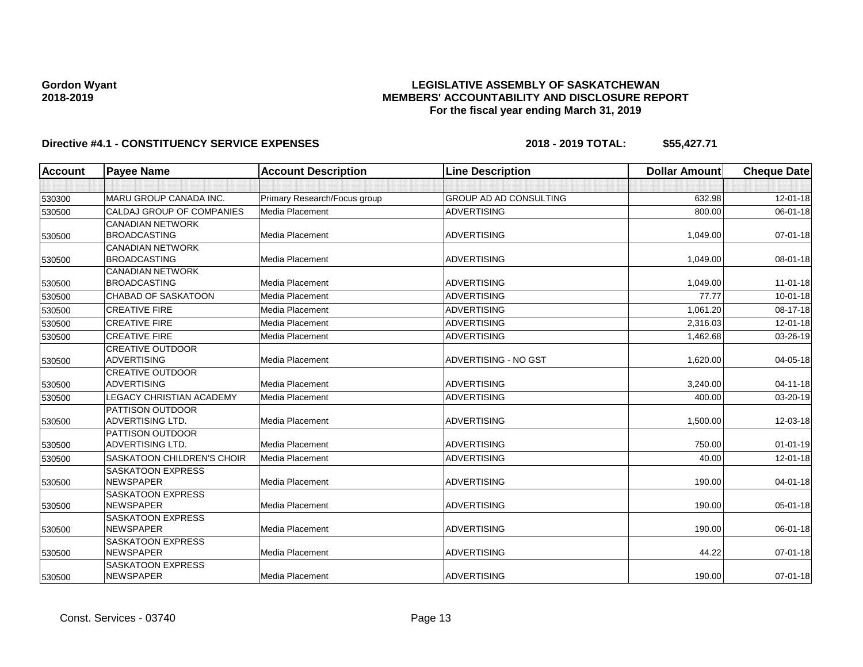## **LEGISLATIVE ASSEMBLY OF SASKATCHEWAN MEMBERS' ACCOUNTABILITY AND DISCLOSURE REPORT For the fiscal year ending March 31, 2019**

| <b>Account</b> | <b>Payee Name</b>                            | <b>Account Description</b>   | <b>Line Description</b>       | <b>Dollar Amount</b> | <b>Cheque Date</b> |
|----------------|----------------------------------------------|------------------------------|-------------------------------|----------------------|--------------------|
|                |                                              |                              |                               |                      |                    |
| 530300         | MARU GROUP CANADA INC.                       | Primary Research/Focus group | <b>GROUP AD AD CONSULTING</b> | 632.98               | 12-01-18           |
| 530500         | CALDAJ GROUP OF COMPANIES                    | Media Placement              | <b>ADVERTISING</b>            | 800.00               | 06-01-18           |
|                | <b>CANADIAN NETWORK</b>                      |                              |                               |                      |                    |
| 530500         | <b>BROADCASTING</b>                          | Media Placement              | <b>ADVERTISING</b>            | 1,049.00             | 07-01-18           |
|                | <b>CANADIAN NETWORK</b>                      |                              |                               |                      |                    |
| 530500         | <b>BROADCASTING</b>                          | Media Placement              | <b>ADVERTISING</b>            | 1,049.00             | 08-01-18           |
|                | <b>CANADIAN NETWORK</b>                      |                              |                               |                      |                    |
| 530500         | <b>BROADCASTING</b>                          | Media Placement              | <b>ADVERTISING</b>            | 1,049.00             | $11-01-18$         |
| 530500         | <b>CHABAD OF SASKATOON</b>                   | Media Placement              | <b>ADVERTISING</b>            | 77.77                | $10 - 01 - 18$     |
| 530500         | <b>CREATIVE FIRE</b>                         | Media Placement              | <b>ADVERTISING</b>            | 1,061.20             | 08-17-18           |
| 530500         | <b>CREATIVE FIRE</b>                         | Media Placement              | <b>ADVERTISING</b>            | 2,316.03             | 12-01-18           |
| 530500         | <b>CREATIVE FIRE</b>                         | Media Placement              | <b>ADVERTISING</b>            | 1,462.68             | 03-26-19           |
|                | <b>CREATIVE OUTDOOR</b>                      |                              |                               |                      |                    |
| 530500         | <b>ADVERTISING</b>                           | Media Placement              | <b>ADVERTISING - NO GST</b>   | 1,620.00             | $04 - 05 - 18$     |
|                | <b>CREATIVE OUTDOOR</b>                      |                              |                               |                      |                    |
| 530500         | <b>ADVERTISING</b>                           | Media Placement              | <b>ADVERTISING</b>            | 3.240.00             | $04 - 11 - 18$     |
| 530500         | <b>LEGACY CHRISTIAN ACADEMY</b>              | Media Placement              | <b>ADVERTISING</b>            | 400.00               | 03-20-19           |
|                | <b>PATTISON OUTDOOR</b>                      |                              |                               |                      |                    |
| 530500         | <b>ADVERTISING LTD.</b>                      | Media Placement              | <b>ADVERTISING</b>            | 1,500.00             | 12-03-18           |
|                | <b>PATTISON OUTDOOR</b>                      |                              |                               |                      |                    |
| 530500         | <b>ADVERTISING LTD.</b>                      | Media Placement              | <b>ADVERTISING</b>            | 750.00               | $01 - 01 - 19$     |
| 530500         | <b>SASKATOON CHILDREN'S CHOIR</b>            | Media Placement              | <b>ADVERTISING</b>            | 40.00                | 12-01-18           |
|                | <b>SASKATOON EXPRESS</b>                     |                              |                               |                      |                    |
| 530500         | <b>NEWSPAPER</b>                             | Media Placement              | <b>ADVERTISING</b>            | 190.00               | 04-01-18           |
|                | <b>SASKATOON EXPRESS</b>                     |                              |                               |                      |                    |
| 530500         | <b>NEWSPAPER</b>                             | Media Placement              | <b>ADVERTISING</b>            | 190.00               | 05-01-18           |
|                | <b>SASKATOON EXPRESS</b><br><b>NEWSPAPER</b> | Media Placement              | <b>ADVERTISING</b>            | 190.00               | 06-01-18           |
| 530500         | <b>SASKATOON EXPRESS</b>                     |                              |                               |                      |                    |
| 530500         | <b>NEWSPAPER</b>                             | Media Placement              | <b>ADVERTISING</b>            | 44.22                | $07 - 01 - 18$     |
|                | <b>SASKATOON EXPRESS</b>                     |                              |                               |                      |                    |
| 530500         | <b>NEWSPAPER</b>                             | Media Placement              | <b>ADVERTISING</b>            | 190.00               | $07 - 01 - 18$     |
|                |                                              |                              |                               |                      |                    |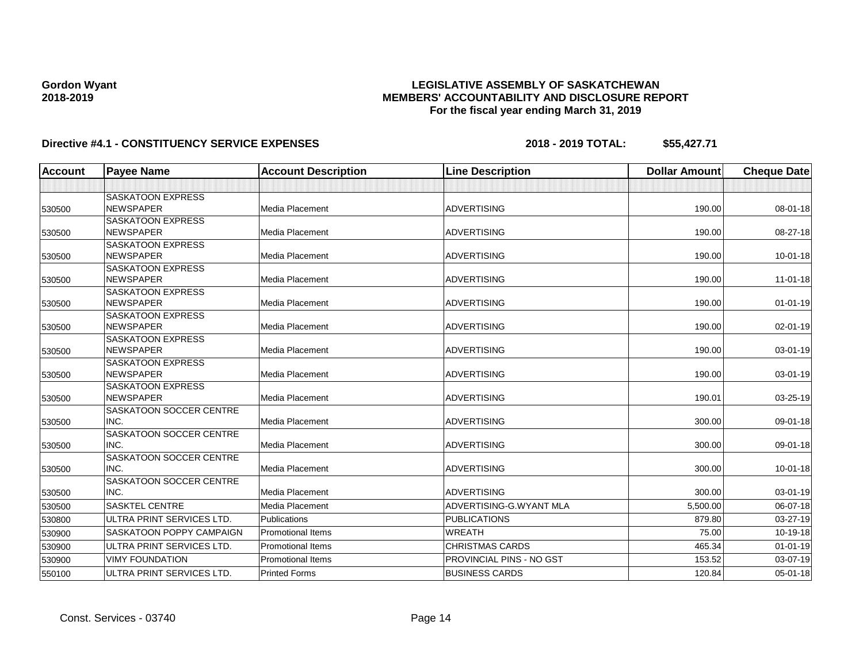## **LEGISLATIVE ASSEMBLY OF SASKATCHEWAN MEMBERS' ACCOUNTABILITY AND DISCLOSURE REPORT For the fiscal year ending March 31, 2019**

| <b>Account</b> | <b>Payee Name</b>                            | <b>Account Description</b> | <b>Line Description</b>         | <b>Dollar Amount</b> | <b>Cheque Date</b> |
|----------------|----------------------------------------------|----------------------------|---------------------------------|----------------------|--------------------|
|                |                                              |                            |                                 |                      |                    |
|                | <b>SASKATOON EXPRESS</b>                     |                            |                                 |                      |                    |
| 530500         | NEWSPAPER                                    | Media Placement            | <b>ADVERTISING</b>              | 190.00               | $08 - 01 - 18$     |
|                | <b>SASKATOON EXPRESS</b>                     |                            |                                 |                      |                    |
| 530500         | <b>NEWSPAPER</b>                             | Media Placement            | <b>ADVERTISING</b>              | 190.00               | 08-27-18           |
|                | <b>SASKATOON EXPRESS</b>                     |                            |                                 |                      |                    |
| 530500         | <b>NEWSPAPER</b>                             | Media Placement            | <b>ADVERTISING</b>              | 190.00               | 10-01-18           |
|                | <b>SASKATOON EXPRESS</b>                     |                            |                                 |                      |                    |
| 530500         | <b>NEWSPAPER</b>                             | Media Placement            | <b>ADVERTISING</b>              | 190.00               | 11-01-18           |
|                | <b>SASKATOON EXPRESS</b>                     |                            |                                 |                      |                    |
| 530500         | <b>NEWSPAPER</b>                             | Media Placement            | <b>ADVERTISING</b>              | 190.00               | $01 - 01 - 19$     |
|                | <b>SASKATOON EXPRESS</b>                     |                            |                                 |                      |                    |
| 530500         | <b>NEWSPAPER</b>                             | Media Placement            | <b>ADVERTISING</b>              | 190.00               | 02-01-19           |
|                | <b>SASKATOON EXPRESS</b>                     |                            |                                 |                      |                    |
| 530500         | <b>NEWSPAPER</b>                             | Media Placement            | <b>ADVERTISING</b>              | 190.00               | 03-01-19           |
|                | <b>SASKATOON EXPRESS</b><br><b>NEWSPAPER</b> | Media Placement            | <b>ADVERTISING</b>              | 190.00               | 03-01-19           |
| 530500         | <b>SASKATOON EXPRESS</b>                     |                            |                                 |                      |                    |
| 530500         | NEWSPAPER                                    | Media Placement            | <b>ADVERTISING</b>              | 190.01               | 03-25-19           |
|                | <b>SASKATOON SOCCER CENTRE</b>               |                            |                                 |                      |                    |
| 530500         | INC.                                         | Media Placement            | <b>ADVERTISING</b>              | 300.00               | 09-01-18           |
|                | <b>SASKATOON SOCCER CENTRE</b>               |                            |                                 |                      |                    |
| 530500         | INC.                                         | Media Placement            | <b>ADVERTISING</b>              | 300.00               | 09-01-18           |
|                | <b>SASKATOON SOCCER CENTRE</b>               |                            |                                 |                      |                    |
| 530500         | INC.                                         | Media Placement            | <b>ADVERTISING</b>              | 300.00               | $10 - 01 - 18$     |
|                | SASKATOON SOCCER CENTRE                      |                            |                                 |                      |                    |
| 530500         | INC.                                         | Media Placement            | <b>ADVERTISING</b>              | 300.00               | $03 - 01 - 19$     |
| 530500         | <b>SASKTEL CENTRE</b>                        | Media Placement            | ADVERTISING-G.WYANT MLA         | 5,500.00             | 06-07-18           |
| 530800         | ULTRA PRINT SERVICES LTD.                    | Publications               | <b>PUBLICATIONS</b>             | 879.80               | 03-27-19           |
| 530900         | <b>SASKATOON POPPY CAMPAIGN</b>              | Promotional Items          | <b>WREATH</b>                   | 75.00                | 10-19-18           |
| 530900         | <b>ULTRA PRINT SERVICES LTD.</b>             | <b>Promotional Items</b>   | <b>CHRISTMAS CARDS</b>          | 465.34               | $01 - 01 - 19$     |
| 530900         | <b>VIMY FOUNDATION</b>                       | <b>Promotional Items</b>   | <b>PROVINCIAL PINS - NO GST</b> | 153.52               | 03-07-19           |
| 550100         | ULTRA PRINT SERVICES LTD.                    | <b>Printed Forms</b>       | <b>BUSINESS CARDS</b>           | 120.84               | 05-01-18           |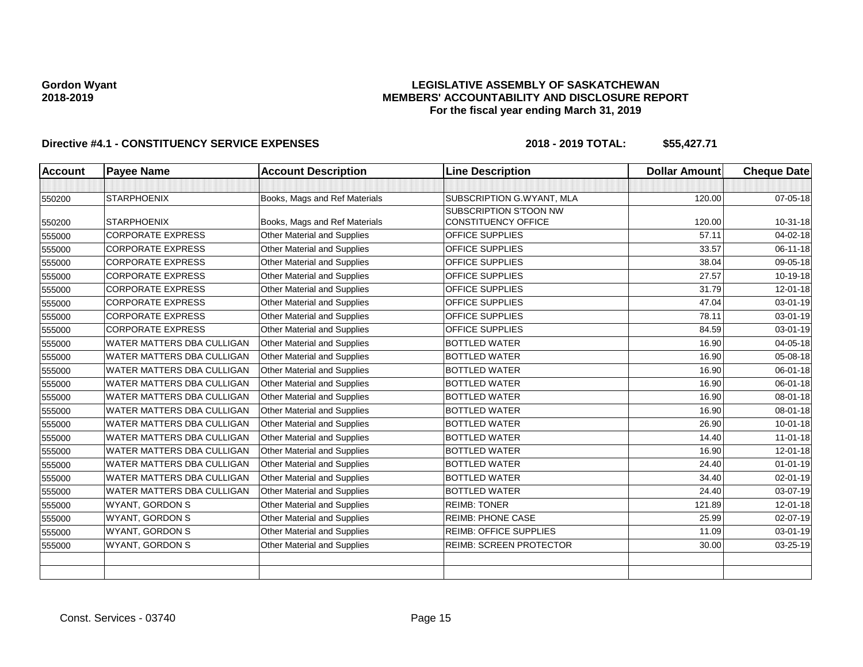## **LEGISLATIVE ASSEMBLY OF SASKATCHEWAN MEMBERS' ACCOUNTABILITY AND DISCLOSURE REPORT For the fiscal year ending March 31, 2019**

| <b>Account</b> | <b>Payee Name</b>                 | <b>Account Description</b>         | <b>Line Description</b>        | <b>Dollar Amount</b> | <b>Cheque Date</b> |
|----------------|-----------------------------------|------------------------------------|--------------------------------|----------------------|--------------------|
|                |                                   |                                    |                                |                      |                    |
| 550200         | <b>STARPHOENIX</b>                | Books, Mags and Ref Materials      | SUBSCRIPTION G.WYANT, MLA      | 120.00               | 07-05-18           |
|                |                                   |                                    | SUBSCRIPTION S'TOON NW         |                      |                    |
| 550200         | <b>STARPHOENIX</b>                | Books, Mags and Ref Materials      | <b>CONSTITUENCY OFFICE</b>     | 120.00               | 10-31-18           |
| 555000         | <b>CORPORATE EXPRESS</b>          | Other Material and Supplies        | OFFICE SUPPLIES                | 57.11                | 04-02-18           |
| 555000         | <b>CORPORATE EXPRESS</b>          | <b>Other Material and Supplies</b> | <b>OFFICE SUPPLIES</b>         | 33.57                | 06-11-18           |
| 555000         | <b>CORPORATE EXPRESS</b>          | Other Material and Supplies        | OFFICE SUPPLIES                | 38.04                | 09-05-18           |
| 555000         | <b>CORPORATE EXPRESS</b>          | <b>Other Material and Supplies</b> | <b>OFFICE SUPPLIES</b>         | 27.57                | 10-19-18           |
| 555000         | <b>CORPORATE EXPRESS</b>          | <b>Other Material and Supplies</b> | OFFICE SUPPLIES                | 31.79                | 12-01-18           |
| 555000         | <b>CORPORATE EXPRESS</b>          | Other Material and Supplies        | OFFICE SUPPLIES                | 47.04                | 03-01-19           |
| 555000         | <b>CORPORATE EXPRESS</b>          | Other Material and Supplies        | OFFICE SUPPLIES                | 78.11                | 03-01-19           |
| 555000         | <b>CORPORATE EXPRESS</b>          | Other Material and Supplies        | OFFICE SUPPLIES                | 84.59                | 03-01-19           |
| 555000         | WATER MATTERS DBA CULLIGAN        | Other Material and Supplies        | <b>BOTTLED WATER</b>           | 16.90                | 04-05-18           |
| 555000         | <b>WATER MATTERS DBA CULLIGAN</b> | Other Material and Supplies        | <b>BOTTLED WATER</b>           | 16.90                | 05-08-18           |
| 555000         | <b>WATER MATTERS DBA CULLIGAN</b> | Other Material and Supplies        | <b>BOTTLED WATER</b>           | 16.90                | 06-01-18           |
| 555000         | WATER MATTERS DBA CULLIGAN        | Other Material and Supplies        | <b>BOTTLED WATER</b>           | 16.90                | 06-01-18           |
| 555000         | WATER MATTERS DBA CULLIGAN        | Other Material and Supplies        | <b>BOTTLED WATER</b>           | 16.90                | 08-01-18           |
| 555000         | WATER MATTERS DBA CULLIGAN        | Other Material and Supplies        | <b>BOTTLED WATER</b>           | 16.90                | 08-01-18           |
| 555000         | <b>WATER MATTERS DBA CULLIGAN</b> | <b>Other Material and Supplies</b> | <b>BOTTLED WATER</b>           | 26.90                | $10 - 01 - 18$     |
| 555000         | WATER MATTERS DBA CULLIGAN        | Other Material and Supplies        | <b>BOTTLED WATER</b>           | 14.40                | $11-01-18$         |
| 555000         | WATER MATTERS DBA CULLIGAN        | <b>Other Material and Supplies</b> | <b>BOTTLED WATER</b>           | 16.90                | $12 - 01 - 18$     |
| 555000         | WATER MATTERS DBA CULLIGAN        | Other Material and Supplies        | <b>BOTTLED WATER</b>           | 24.40                | $01 - 01 - 19$     |
| 555000         | WATER MATTERS DBA CULLIGAN        | Other Material and Supplies        | <b>BOTTLED WATER</b>           | 34.40                | $02 - 01 - 19$     |
| 555000         | <b>WATER MATTERS DBA CULLIGAN</b> | Other Material and Supplies        | <b>BOTTLED WATER</b>           | 24.40                | 03-07-19           |
| 555000         | <b>WYANT, GORDON S</b>            | Other Material and Supplies        | <b>REIMB: TONER</b>            | 121.89               | 12-01-18           |
| 555000         | WYANT, GORDON S                   | Other Material and Supplies        | <b>REIMB: PHONE CASE</b>       | 25.99                | 02-07-19           |
| 555000         | <b>WYANT, GORDON S</b>            | <b>Other Material and Supplies</b> | <b>REIMB: OFFICE SUPPLIES</b>  | 11.09                | $03 - 01 - 19$     |
| 555000         | WYANT, GORDON S                   | Other Material and Supplies        | <b>REIMB: SCREEN PROTECTOR</b> | 30.00                | 03-25-19           |
|                |                                   |                                    |                                |                      |                    |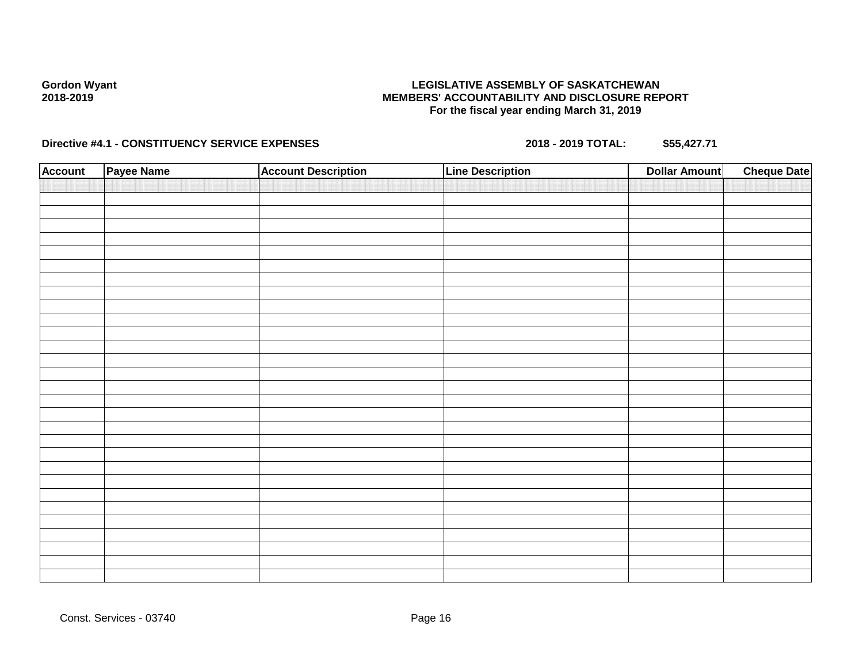## **LEGISLATIVE ASSEMBLY OF SASKATCHEWAN MEMBERS' ACCOUNTABILITY AND DISCLOSURE REPORT For the fiscal year ending March 31, 2019**

| <b>Account</b> | Payee Name | <b>Account Description</b> | <b>Line Description</b> | <b>Dollar Amount</b> | <b>Cheque Date</b> |
|----------------|------------|----------------------------|-------------------------|----------------------|--------------------|
|                |            |                            |                         |                      |                    |
|                |            |                            |                         |                      |                    |
|                |            |                            |                         |                      |                    |
|                |            |                            |                         |                      |                    |
|                |            |                            |                         |                      |                    |
|                |            |                            |                         |                      |                    |
|                |            |                            |                         |                      |                    |
|                |            |                            |                         |                      |                    |
|                |            |                            |                         |                      |                    |
|                |            |                            |                         |                      |                    |
|                |            |                            |                         |                      |                    |
|                |            |                            |                         |                      |                    |
|                |            |                            |                         |                      |                    |
|                |            |                            |                         |                      |                    |
|                |            |                            |                         |                      |                    |
|                |            |                            |                         |                      |                    |
|                |            |                            |                         |                      |                    |
|                |            |                            |                         |                      |                    |
|                |            |                            |                         |                      |                    |
|                |            |                            |                         |                      |                    |
|                |            |                            |                         |                      |                    |
|                |            |                            |                         |                      |                    |
|                |            |                            |                         |                      |                    |
|                |            |                            |                         |                      |                    |
|                |            |                            |                         |                      |                    |
|                |            |                            |                         |                      |                    |
|                |            |                            |                         |                      |                    |
|                |            |                            |                         |                      |                    |
|                |            |                            |                         |                      |                    |
|                |            |                            |                         |                      |                    |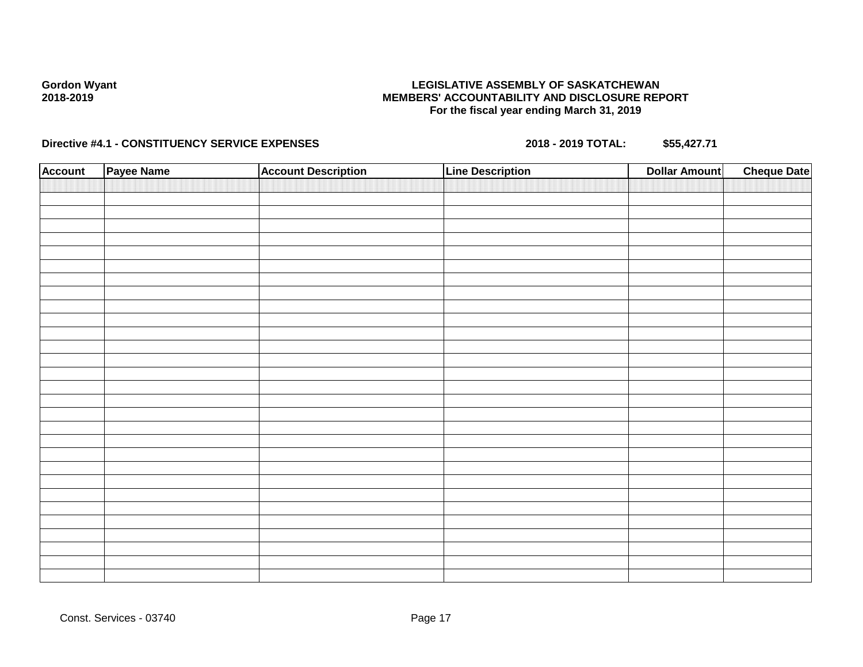## **LEGISLATIVE ASSEMBLY OF SASKATCHEWAN MEMBERS' ACCOUNTABILITY AND DISCLOSURE REPORT For the fiscal year ending March 31, 2019**

| <b>Account</b> | Payee Name | <b>Account Description</b> | <b>Line Description</b> | <b>Dollar Amount</b> | <b>Cheque Date</b> |
|----------------|------------|----------------------------|-------------------------|----------------------|--------------------|
|                |            |                            |                         |                      |                    |
|                |            |                            |                         |                      |                    |
|                |            |                            |                         |                      |                    |
|                |            |                            |                         |                      |                    |
|                |            |                            |                         |                      |                    |
|                |            |                            |                         |                      |                    |
|                |            |                            |                         |                      |                    |
|                |            |                            |                         |                      |                    |
|                |            |                            |                         |                      |                    |
|                |            |                            |                         |                      |                    |
|                |            |                            |                         |                      |                    |
|                |            |                            |                         |                      |                    |
|                |            |                            |                         |                      |                    |
|                |            |                            |                         |                      |                    |
|                |            |                            |                         |                      |                    |
|                |            |                            |                         |                      |                    |
|                |            |                            |                         |                      |                    |
|                |            |                            |                         |                      |                    |
|                |            |                            |                         |                      |                    |
|                |            |                            |                         |                      |                    |
|                |            |                            |                         |                      |                    |
|                |            |                            |                         |                      |                    |
|                |            |                            |                         |                      |                    |
|                |            |                            |                         |                      |                    |
|                |            |                            |                         |                      |                    |
|                |            |                            |                         |                      |                    |
|                |            |                            |                         |                      |                    |
|                |            |                            |                         |                      |                    |
|                |            |                            |                         |                      |                    |
|                |            |                            |                         |                      |                    |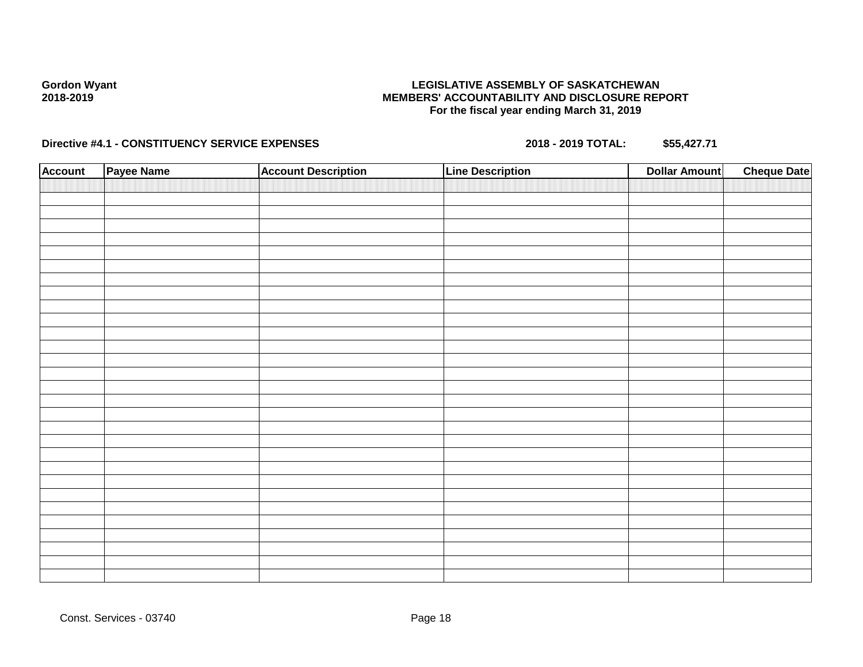## **LEGISLATIVE ASSEMBLY OF SASKATCHEWAN MEMBERS' ACCOUNTABILITY AND DISCLOSURE REPORT For the fiscal year ending March 31, 2019**

| <b>Account</b> | Payee Name | <b>Account Description</b> | <b>Line Description</b> | <b>Dollar Amount</b> | <b>Cheque Date</b> |
|----------------|------------|----------------------------|-------------------------|----------------------|--------------------|
|                |            |                            |                         |                      |                    |
|                |            |                            |                         |                      |                    |
|                |            |                            |                         |                      |                    |
|                |            |                            |                         |                      |                    |
|                |            |                            |                         |                      |                    |
|                |            |                            |                         |                      |                    |
|                |            |                            |                         |                      |                    |
|                |            |                            |                         |                      |                    |
|                |            |                            |                         |                      |                    |
|                |            |                            |                         |                      |                    |
|                |            |                            |                         |                      |                    |
|                |            |                            |                         |                      |                    |
|                |            |                            |                         |                      |                    |
|                |            |                            |                         |                      |                    |
|                |            |                            |                         |                      |                    |
|                |            |                            |                         |                      |                    |
|                |            |                            |                         |                      |                    |
|                |            |                            |                         |                      |                    |
|                |            |                            |                         |                      |                    |
|                |            |                            |                         |                      |                    |
|                |            |                            |                         |                      |                    |
|                |            |                            |                         |                      |                    |
|                |            |                            |                         |                      |                    |
|                |            |                            |                         |                      |                    |
|                |            |                            |                         |                      |                    |
|                |            |                            |                         |                      |                    |
|                |            |                            |                         |                      |                    |
|                |            |                            |                         |                      |                    |
|                |            |                            |                         |                      |                    |
|                |            |                            |                         |                      |                    |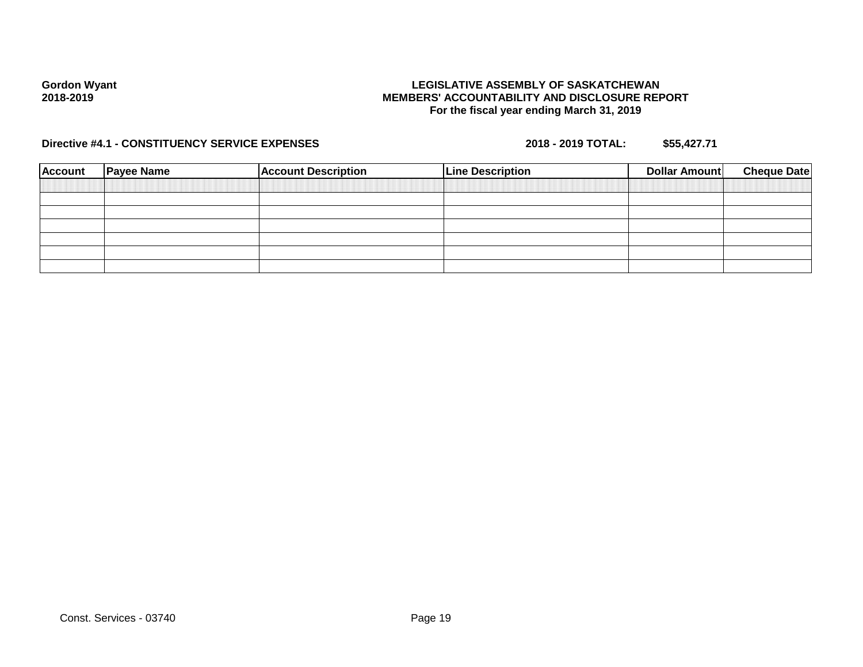## **LEGISLATIVE ASSEMBLY OF SASKATCHEWAN MEMBERS' ACCOUNTABILITY AND DISCLOSURE REPORT For the fiscal year ending March 31, 2019**

| <b>Account</b> | <b>Payee Name</b> | <b>Account Description</b> | <b>Line Description</b> | <b>Dollar Amount</b> | <b>Cheque Date</b> |
|----------------|-------------------|----------------------------|-------------------------|----------------------|--------------------|
|                |                   |                            |                         |                      |                    |
|                |                   |                            |                         |                      |                    |
|                |                   |                            |                         |                      |                    |
|                |                   |                            |                         |                      |                    |
|                |                   |                            |                         |                      |                    |
|                |                   |                            |                         |                      |                    |
|                |                   |                            |                         |                      |                    |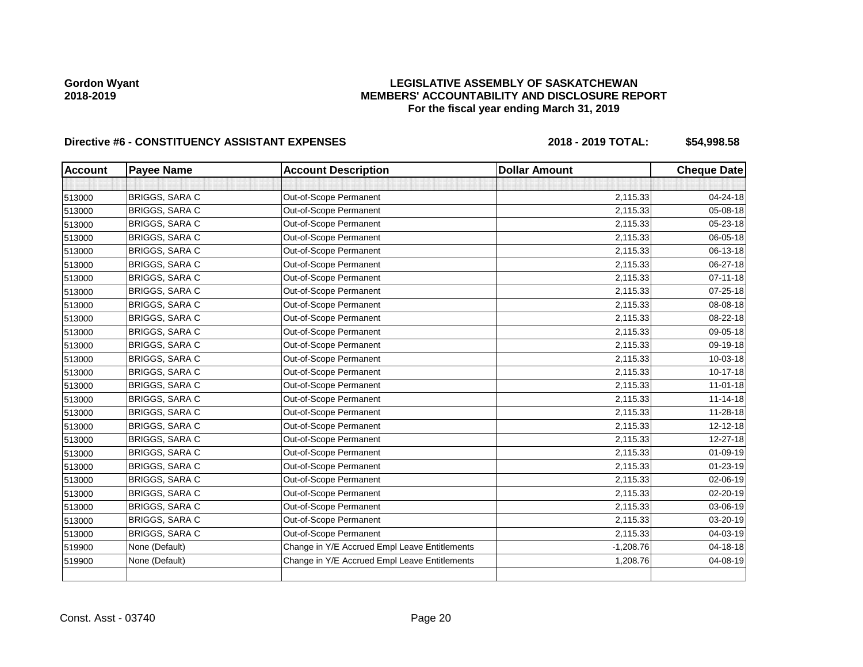## **LEGISLATIVE ASSEMBLY OF SASKATCHEWAN MEMBERS' ACCOUNTABILITY AND DISCLOSURE REPORT For the fiscal year ending March 31, 2019**

| <b>Account</b> | <b>Payee Name</b>     | <b>Account Description</b>                    | <b>Dollar Amount</b> | <b>Cheque Date</b> |
|----------------|-----------------------|-----------------------------------------------|----------------------|--------------------|
|                |                       |                                               |                      |                    |
| 513000         | BRIGGS, SARA C        | Out-of-Scope Permanent                        | 2,115.33             | 04-24-18           |
| 513000         | <b>BRIGGS, SARA C</b> | Out-of-Scope Permanent                        | 2,115.33             | 05-08-18           |
| 513000         | BRIGGS, SARA C        | Out-of-Scope Permanent                        | 2,115.33             | 05-23-18           |
| 513000         | <b>BRIGGS, SARA C</b> | Out-of-Scope Permanent                        | 2,115.33             | 06-05-18           |
| 513000         | <b>BRIGGS, SARA C</b> | Out-of-Scope Permanent                        | 2,115.33             | 06-13-18           |
| 513000         | BRIGGS, SARA C        | Out-of-Scope Permanent                        | 2,115.33             | 06-27-18           |
| 513000         | BRIGGS, SARA C        | Out-of-Scope Permanent                        | 2,115.33             | $07 - 11 - 18$     |
| 513000         | BRIGGS, SARA C        | Out-of-Scope Permanent                        | 2,115.33             | 07-25-18           |
| 513000         | BRIGGS, SARA C        | Out-of-Scope Permanent                        | 2,115.33             | 08-08-18           |
| 513000         | <b>BRIGGS, SARA C</b> | Out-of-Scope Permanent                        | 2,115.33             | 08-22-18           |
| 513000         | <b>BRIGGS, SARA C</b> | Out-of-Scope Permanent                        | 2,115.33             | 09-05-18           |
| 513000         | BRIGGS, SARA C        | Out-of-Scope Permanent                        | 2,115.33             | 09-19-18           |
| 513000         | BRIGGS, SARA C        | Out-of-Scope Permanent                        | 2,115.33             | 10-03-18           |
| 513000         | BRIGGS, SARA C        | Out-of-Scope Permanent                        | 2,115.33             | 10-17-18           |
| 513000         | BRIGGS, SARA C        | Out-of-Scope Permanent                        | 2,115.33             | $11 - 01 - 18$     |
| 513000         | BRIGGS, SARA C        | Out-of-Scope Permanent                        | 2,115.33             | $11 - 14 - 18$     |
| 513000         | BRIGGS, SARA C        | Out-of-Scope Permanent                        | 2,115.33             | 11-28-18           |
| 513000         | <b>BRIGGS, SARA C</b> | Out-of-Scope Permanent                        | 2,115.33             | 12-12-18           |
| 513000         | BRIGGS, SARA C        | Out-of-Scope Permanent                        | 2,115.33             | 12-27-18           |
| 513000         | BRIGGS, SARA C        | Out-of-Scope Permanent                        | 2,115.33             | 01-09-19           |
| 513000         | BRIGGS, SARA C        | Out-of-Scope Permanent                        | 2,115.33             | $01 - 23 - 19$     |
| 513000         | BRIGGS, SARA C        | Out-of-Scope Permanent                        | 2,115.33             | 02-06-19           |
| 513000         | BRIGGS, SARA C        | Out-of-Scope Permanent                        | 2,115.33             | $02 - 20 - 19$     |
| 513000         | BRIGGS, SARA C        | Out-of-Scope Permanent                        | 2,115.33             | 03-06-19           |
| 513000         | BRIGGS, SARA C        | Out-of-Scope Permanent                        | 2,115.33             | 03-20-19           |
| 513000         | <b>BRIGGS, SARA C</b> | Out-of-Scope Permanent                        | 2,115.33             | 04-03-19           |
| 519900         | None (Default)        | Change in Y/E Accrued Empl Leave Entitlements | $-1,208.76$          | 04-18-18           |
| 519900         | None (Default)        | Change in Y/E Accrued Empl Leave Entitlements | 1,208.76             | 04-08-19           |
|                |                       |                                               |                      |                    |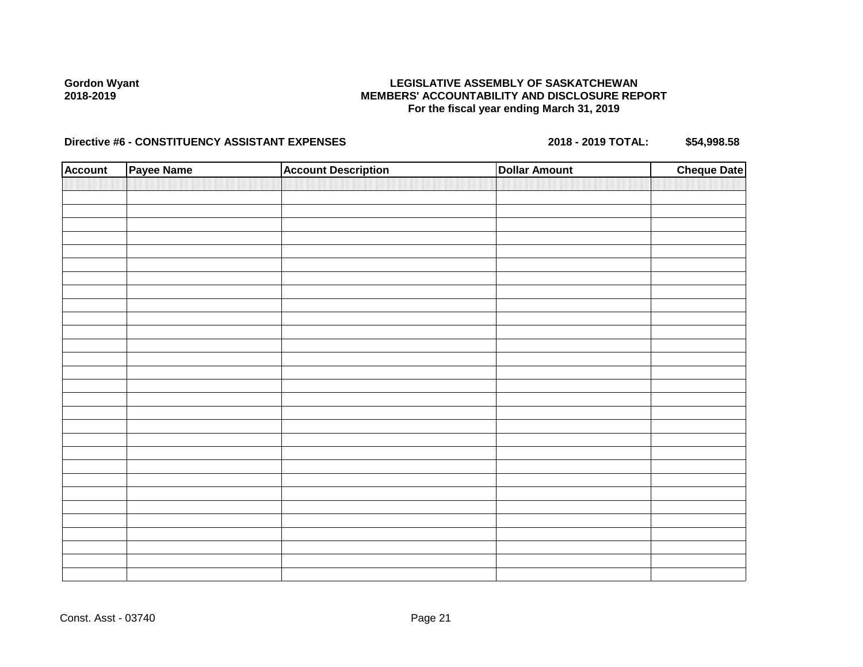## **LEGISLATIVE ASSEMBLY OF SASKATCHEWAN MEMBERS' ACCOUNTABILITY AND DISCLOSURE REPORT For the fiscal year ending March 31, 2019**

| <b>Account</b> | Payee Name | <b>Account Description</b> | <b>Dollar Amount</b> | <b>Cheque Date</b> |
|----------------|------------|----------------------------|----------------------|--------------------|
|                |            |                            |                      |                    |
|                |            |                            |                      |                    |
|                |            |                            |                      |                    |
|                |            |                            |                      |                    |
|                |            |                            |                      |                    |
|                |            |                            |                      |                    |
|                |            |                            |                      |                    |
|                |            |                            |                      |                    |
|                |            |                            |                      |                    |
|                |            |                            |                      |                    |
|                |            |                            |                      |                    |
|                |            |                            |                      |                    |
|                |            |                            |                      |                    |
|                |            |                            |                      |                    |
|                |            |                            |                      |                    |
|                |            |                            |                      |                    |
|                |            |                            |                      |                    |
|                |            |                            |                      |                    |
|                |            |                            |                      |                    |
|                |            |                            |                      |                    |
|                |            |                            |                      |                    |
|                |            |                            |                      |                    |
|                |            |                            |                      |                    |
|                |            |                            |                      |                    |
|                |            |                            |                      |                    |
|                |            |                            |                      |                    |
|                |            |                            |                      |                    |
|                |            |                            |                      |                    |
|                |            |                            |                      |                    |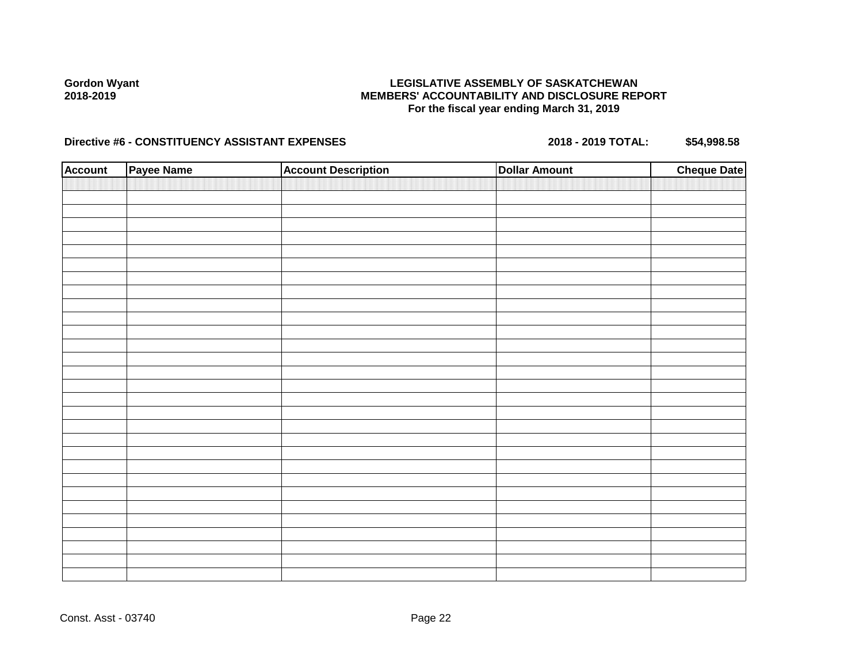## **LEGISLATIVE ASSEMBLY OF SASKATCHEWAN MEMBERS' ACCOUNTABILITY AND DISCLOSURE REPORT For the fiscal year ending March 31, 2019**

| <b>Account</b> | Payee Name | <b>Account Description</b> | <b>Dollar Amount</b> | <b>Cheque Date</b> |
|----------------|------------|----------------------------|----------------------|--------------------|
|                |            |                            |                      |                    |
|                |            |                            |                      |                    |
|                |            |                            |                      |                    |
|                |            |                            |                      |                    |
|                |            |                            |                      |                    |
|                |            |                            |                      |                    |
|                |            |                            |                      |                    |
|                |            |                            |                      |                    |
|                |            |                            |                      |                    |
|                |            |                            |                      |                    |
|                |            |                            |                      |                    |
|                |            |                            |                      |                    |
|                |            |                            |                      |                    |
|                |            |                            |                      |                    |
|                |            |                            |                      |                    |
|                |            |                            |                      |                    |
|                |            |                            |                      |                    |
|                |            |                            |                      |                    |
|                |            |                            |                      |                    |
|                |            |                            |                      |                    |
|                |            |                            |                      |                    |
|                |            |                            |                      |                    |
|                |            |                            |                      |                    |
|                |            |                            |                      |                    |
|                |            |                            |                      |                    |
|                |            |                            |                      |                    |
|                |            |                            |                      |                    |
|                |            |                            |                      |                    |
|                |            |                            |                      |                    |